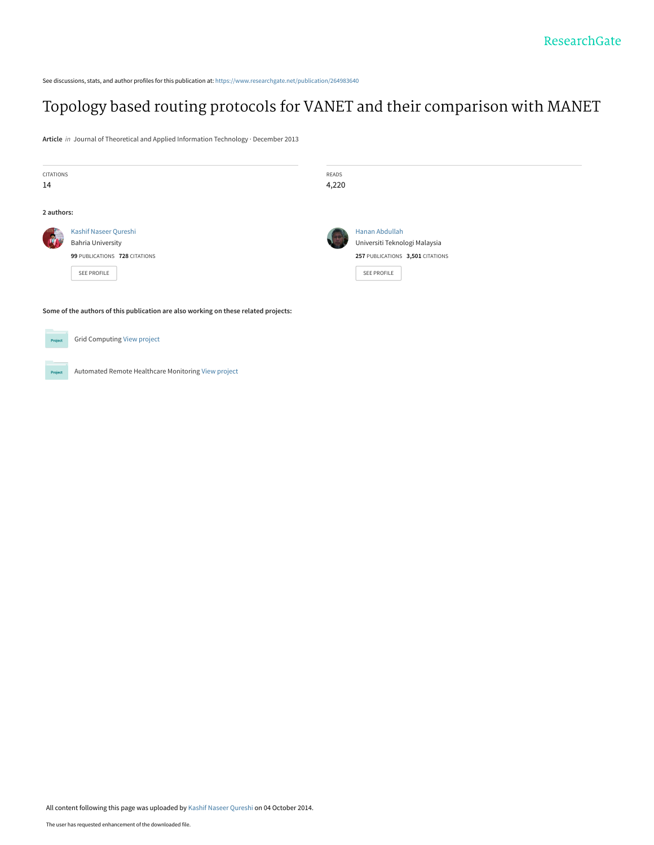See discussions, stats, and author profiles for this publication at: [https://www.researchgate.net/publication/264983640](https://www.researchgate.net/publication/264983640_Topology_based_routing_protocols_for_VANET_and_their_comparison_with_MANET?enrichId=rgreq-a226841143b96ac7a8e6ecf2bc2937b3-XXX&enrichSource=Y292ZXJQYWdlOzI2NDk4MzY0MDtBUzoxNDg2MTMyNDIwMzYyMjRAMTQxMjQ0MzU2NjQ5OQ%3D%3D&el=1_x_2&_esc=publicationCoverPdf)

# [Topology based routing protocols for VANET and their comparison with MANET](https://www.researchgate.net/publication/264983640_Topology_based_routing_protocols_for_VANET_and_their_comparison_with_MANET?enrichId=rgreq-a226841143b96ac7a8e6ecf2bc2937b3-XXX&enrichSource=Y292ZXJQYWdlOzI2NDk4MzY0MDtBUzoxNDg2MTMyNDIwMzYyMjRAMTQxMjQ0MzU2NjQ5OQ%3D%3D&el=1_x_3&_esc=publicationCoverPdf)

**Article** in Journal of Theoretical and Applied Information Technology · December 2013

| CITATIONS  |                                                                                     | <b>READS</b> |                                  |
|------------|-------------------------------------------------------------------------------------|--------------|----------------------------------|
| 14         |                                                                                     | 4,220        |                                  |
| 2 authors: |                                                                                     |              |                                  |
|            | Kashif Naseer Qureshi                                                               |              | Hanan Abdullah                   |
|            | <b>Bahria University</b>                                                            |              | Universiti Teknologi Malaysia    |
|            | 99 PUBLICATIONS 728 CITATIONS                                                       |              | 257 PUBLICATIONS 3,501 CITATIONS |
|            | SEE PROFILE                                                                         |              | <b>SEE PROFILE</b>               |
|            |                                                                                     |              |                                  |
|            | Some of the authors of this publication are also working on these related projects: |              |                                  |
| Project    | <b>Grid Computing View project</b>                                                  |              |                                  |
| Project    | Automated Remote Healthcare Monitoring View project                                 |              |                                  |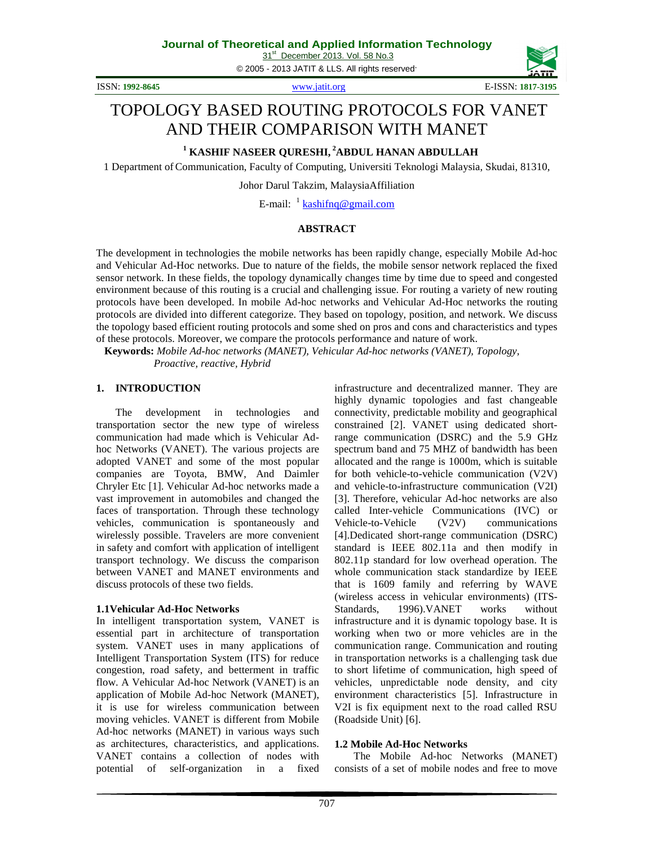31<sup>st</sup> December 2013. Vol. 58 No.3

© 2005 - 2013 JATIT & LLS. All rights reserved.



# TOPOLOGY BASED ROUTING PROTOCOLS FOR VANET AND THEIR COMPARISON WITH MANET

**<sup>1</sup> KASHIF NASEER QURESHI,<sup>2</sup>ABDUL HANAN ABDULLAH** 

1 Department ofCommunication, Faculty of Computing, Universiti Teknologi Malaysia, Skudai, 81310,

Johor Darul Takzim, MalaysiaAffiliation

E-mail: <sup>1</sup> kashifnq@gmail.com

# **ABSTRACT**

The development in technologies the mobile networks has been rapidly change, especially Mobile Ad-hoc and Vehicular Ad-Hoc networks. Due to nature of the fields, the mobile sensor network replaced the fixed sensor network. In these fields, the topology dynamically changes time by time due to speed and congested environment because of this routing is a crucial and challenging issue. For routing a variety of new routing protocols have been developed. In mobile Ad-hoc networks and Vehicular Ad-Hoc networks the routing protocols are divided into different categorize. They based on topology, position, and network. We discuss the topology based efficient routing protocols and some shed on pros and cons and characteristics and types of these protocols. Moreover, we compare the protocols performance and nature of work.

 **Keywords:** *Mobile Ad-hoc networks (MANET), Vehicular Ad-hoc networks (VANET), Topology, Proactive, reactive, Hybrid*

#### **1. INTRODUCTION**

The development in technologies and transportation sector the new type of wireless communication had made which is Vehicular Adhoc Networks (VANET). The various projects are adopted VANET and some of the most popular companies are Toyota, BMW, And Daimler Chryler Etc [1]. Vehicular Ad-hoc networks made a vast improvement in automobiles and changed the faces of transportation. Through these technology vehicles, communication is spontaneously and wirelessly possible. Travelers are more convenient in safety and comfort with application of intelligent transport technology. We discuss the comparison between VANET and MANET environments and discuss protocols of these two fields.

#### **1.1Vehicular Ad-Hoc Networks**

In intelligent transportation system, VANET is essential part in architecture of transportation system. VANET uses in many applications of Intelligent Transportation System (ITS) for reduce congestion, road safety, and betterment in traffic flow. A Vehicular Ad-hoc Network (VANET) is an application of Mobile Ad-hoc Network (MANET), it is use for wireless communication between moving vehicles. VANET is different from Mobile Ad-hoc networks (MANET) in various ways such as architectures, characteristics, and applications. VANET contains a collection of nodes with potential of self-organization in a fixed infrastructure and decentralized manner. They are highly dynamic topologies and fast changeable connectivity, predictable mobility and geographical constrained [2]. VANET using dedicated shortrange communication (DSRC) and the 5.9 GHz spectrum band and 75 MHZ of bandwidth has been allocated and the range is 1000m, which is suitable for both vehicle-to-vehicle communication (V2V) and vehicle-to-infrastructure communication (V2I) [3]. Therefore, vehicular Ad-hoc networks are also called Inter-vehicle Communications (IVC) or Vehicle-to-Vehicle (V2V) communications [4].Dedicated short-range communication (DSRC) standard is IEEE 802.11a and then modify in 802.11p standard for low overhead operation. The whole communication stack standardize by IEEE that is 1609 family and referring by WAVE (wireless access in vehicular environments) (ITS-Standards, 1996).VANET works without infrastructure and it is dynamic topology base. It is working when two or more vehicles are in the communication range. Communication and routing in transportation networks is a challenging task due to short lifetime of communication, high speed of vehicles, unpredictable node density, and city environment characteristics [5]. Infrastructure in V2I is fix equipment next to the road called RSU (Roadside Unit) [6].

#### **1.2 Mobile Ad-Hoc Networks**

The Mobile Ad-hoc Networks (MANET) consists of a set of mobile nodes and free to move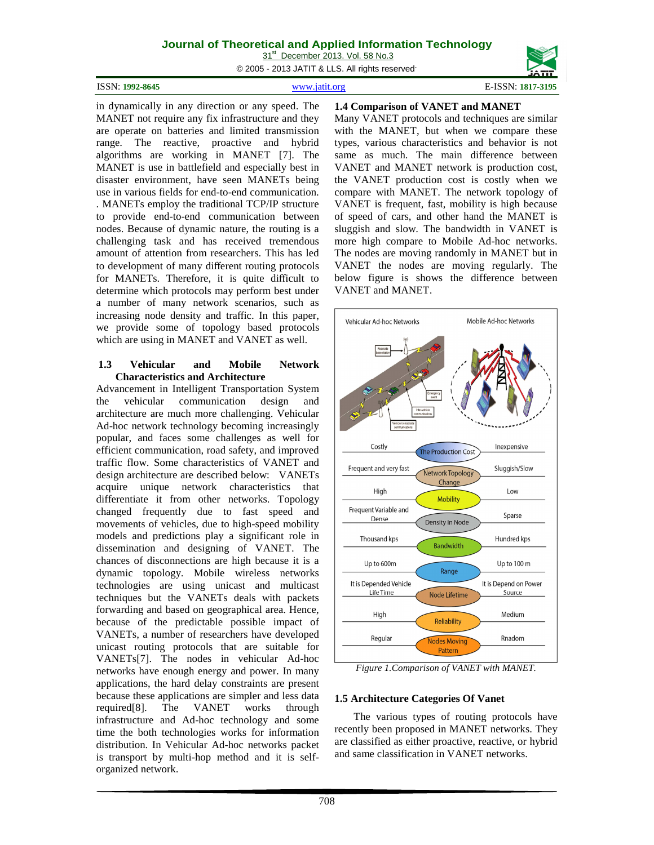31<sup>st</sup> December 2013. Vol. 58 No.3

© 2005 - 2013 JATIT & LLS. All rights reserved.

| ISSN: 1992-8645 | www.jatit.org | E-ISSN: 1817-3195 |
|-----------------|---------------|-------------------|
|                 |               |                   |

in dynamically in any direction or any speed. The MANET not require any fix infrastructure and they are operate on batteries and limited transmission range. The reactive, proactive and hybrid algorithms are working in MANET [7]. The MANET is use in battlefield and especially best in disaster environment, have seen MANETs being use in various fields for end-to-end communication. . MANETs employ the traditional TCP/IP structure to provide end-to-end communication between nodes. Because of dynamic nature, the routing is a challenging task and has received tremendous amount of attention from researchers. This has led to development of many different routing protocols for MANETs. Therefore, it is quite difficult to determine which protocols may perform best under a number of many network scenarios, such as increasing node density and traffic. In this paper, we provide some of topology based protocols which are using in MANET and VANET as well.

#### **1.3 Vehicular and Mobile Network Characteristics and Architecture**

Advancement in Intelligent Transportation System the vehicular communication design and architecture are much more challenging. Vehicular Ad-hoc network technology becoming increasingly popular, and faces some challenges as well for efficient communication, road safety, and improved traffic flow. Some characteristics of VANET and design architecture are described below: VANETs acquire unique network characteristics that differentiate it from other networks. Topology changed frequently due to fast speed and movements of vehicles, due to high-speed mobility models and predictions play a significant role in dissemination and designing of VANET. The chances of disconnections are high because it is a dynamic topology. Mobile wireless networks technologies are using unicast and multicast techniques but the VANETs deals with packets forwarding and based on geographical area. Hence, because of the predictable possible impact of VANETs, a number of researchers have developed unicast routing protocols that are suitable for VANETs[7]. The nodes in vehicular Ad-hoc networks have enough energy and power. In many applications, the hard delay constraints are present because these applications are simpler and less data required[8]. The VANET works through infrastructure and Ad-hoc technology and some time the both technologies works for information distribution. In Vehicular Ad-hoc networks packet is transport by multi-hop method and it is selforganized network.

# **1.4 Comparison of VANET and MANET**

Many VANET protocols and techniques are similar with the MANET, but when we compare these types, various characteristics and behavior is not same as much. The main difference between VANET and MANET network is production cost, the VANET production cost is costly when we compare with MANET. The network topology of VANET is frequent, fast, mobility is high because of speed of cars, and other hand the MANET is sluggish and slow. The bandwidth in VANET is more high compare to Mobile Ad-hoc networks. The nodes are moving randomly in MANET but in VANET the nodes are moving regularly. The below figure is shows the difference between VANET and MANET.



*Figure 1.Comparison of VANET with MANET.* 

# **1.5 Architecture Categories Of Vanet**

The various types of routing protocols have recently been proposed in MANET networks. They are classified as either proactive, reactive, or hybrid and same classification in VANET networks.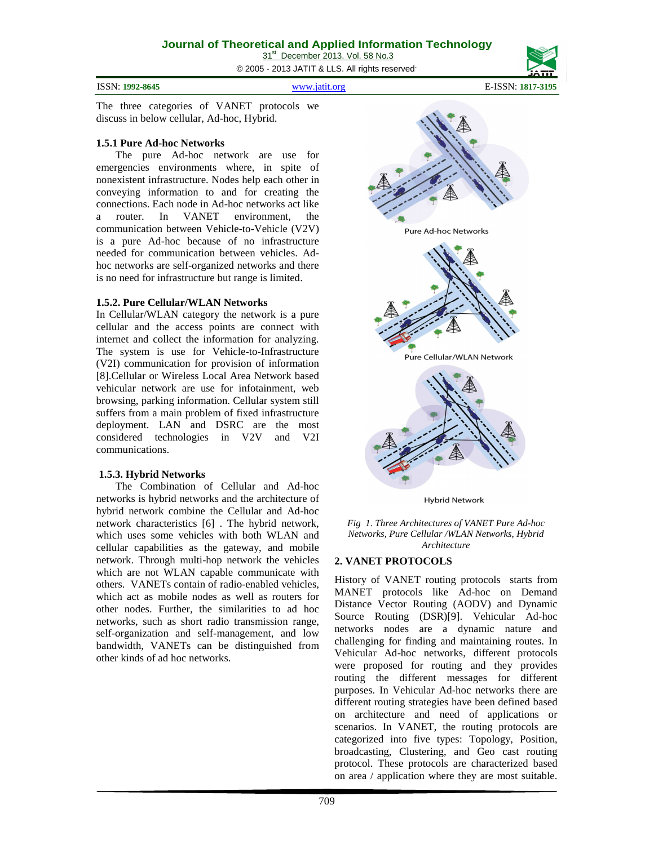© 2005 - 2013 JATIT & LLS. All rights reserved.

ISSN: **1992-8645** www.jatit.org E-ISSN: **1817-3195**

The three categories of VANET protocols we discuss in below cellular, Ad-hoc, Hybrid.

#### **1.5.1 Pure Ad-hoc Networks**

The pure Ad-hoc network are use for emergencies environments where, in spite of nonexistent infrastructure. Nodes help each other in conveying information to and for creating the connections. Each node in Ad-hoc networks act like a router. In VANET environment, the communication between Vehicle-to-Vehicle (V2V) is a pure Ad-hoc because of no infrastructure needed for communication between vehicles. Adhoc networks are self-organized networks and there is no need for infrastructure but range is limited.

#### **1.5.2. Pure Cellular/WLAN Networks**

In Cellular/WLAN category the network is a pure cellular and the access points are connect with internet and collect the information for analyzing. The system is use for Vehicle-to-Infrastructure (V2I) communication for provision of information [8].Cellular or Wireless Local Area Network based vehicular network are use for infotainment, web browsing, parking information. Cellular system still suffers from a main problem of fixed infrastructure deployment. LAN and DSRC are the most considered technologies in V2V and V2I communications.

#### **1.5.3. Hybrid Networks**

The Combination of Cellular and Ad-hoc networks is hybrid networks and the architecture of hybrid network combine the Cellular and Ad-hoc network characteristics [6] . The hybrid network, which uses some vehicles with both WLAN and cellular capabilities as the gateway, and mobile network. Through multi-hop network the vehicles which are not WLAN capable communicate with others. VANETs contain of radio-enabled vehicles, which act as mobile nodes as well as routers for other nodes. Further, the similarities to ad hoc networks, such as short radio transmission range, self-organization and self-management, and low bandwidth, VANETs can be distinguished from other kinds of ad hoc networks.



*Fig 1. Three Architectures of VANET Pure Ad-hoc Networks, Pure Cellular /WLAN Networks, Hybrid* 

*Architecture* 

# **2. VANET PROTOCOLS**

History of VANET routing protocols starts from MANET protocols like Ad-hoc on Demand Distance Vector Routing (AODV) and Dynamic Source Routing (DSR)[9]. Vehicular Ad-hoc networks nodes are a dynamic nature and challenging for finding and maintaining routes. In Vehicular Ad-hoc networks, different protocols were proposed for routing and they provides routing the different messages for different purposes. In Vehicular Ad-hoc networks there are different routing strategies have been defined based on architecture and need of applications or scenarios. In VANET, the routing protocols are categorized into five types: Topology, Position, broadcasting, Clustering, and Geo cast routing protocol. These protocols are characterized based on area / application where they are most suitable.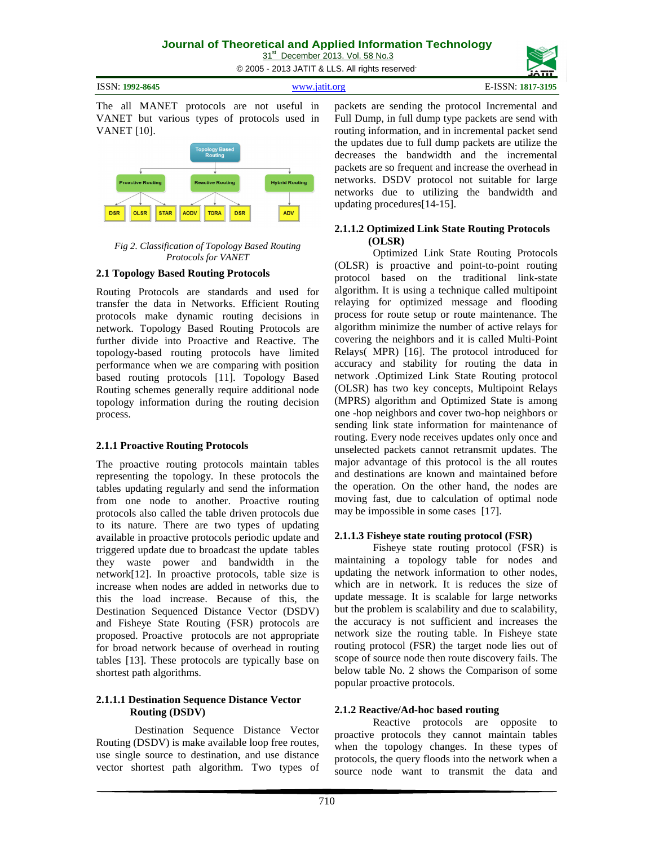31<sup>st</sup> December 2013. Vol. 58 No.3 © 2005 - 2013 JATIT & LLS. All rights reserved.

| ISSN: 1992-8645 | www.1af1f.org | $E$ -ISSN:<br>1817-3195 |
|-----------------|---------------|-------------------------|
|                 |               |                         |

The all MANET protocols are not useful in VANET but various types of protocols used in VANET [10].



*Fig 2. Classification of Topology Based Routing Protocols for VANET* 

#### **2.1 Topology Based Routing Protocols**

Routing Protocols are standards and used for transfer the data in Networks. Efficient Routing protocols make dynamic routing decisions in network. Topology Based Routing Protocols are further divide into Proactive and Reactive. The topology-based routing protocols have limited performance when we are comparing with position based routing protocols [11]. Topology Based Routing schemes generally require additional node topology information during the routing decision process.

# **2.1.1 Proactive Routing Protocols**

The proactive routing protocols maintain tables representing the topology. In these protocols the tables updating regularly and send the information from one node to another. Proactive routing protocols also called the table driven protocols due to its nature. There are two types of updating available in proactive protocols periodic update and triggered update due to broadcast the update tables they waste power and bandwidth in the network[12]. In proactive protocols, table size is increase when nodes are added in networks due to this the load increase. Because of this, the Destination Sequenced Distance Vector (DSDV) and Fisheye State Routing (FSR) protocols are proposed. Proactive protocols are not appropriate for broad network because of overhead in routing tables [13]. These protocols are typically base on shortest path algorithms.

#### **2.1.1.1 Destination Sequence Distance Vector Routing (DSDV)**

Destination Sequence Distance Vector Routing (DSDV) is make available loop free routes, use single source to destination, and use distance vector shortest path algorithm. Two types of

packets are sending the protocol Incremental and Full Dump, in full dump type packets are send with routing information, and in incremental packet send the updates due to full dump packets are utilize the decreases the bandwidth and the incremental packets are so frequent and increase the overhead in networks. DSDV protocol not suitable for large networks due to utilizing the bandwidth and updating procedures[14-15].

# **2.1.1.2 Optimized Link State Routing Protocols (OLSR)**

Optimized Link State Routing Protocols (OLSR) is proactive and point-to-point routing protocol based on the traditional link-state algorithm. It is using a technique called multipoint relaying for optimized message and flooding process for route setup or route maintenance. The algorithm minimize the number of active relays for covering the neighbors and it is called Multi-Point Relays( MPR) [16]. The protocol introduced for accuracy and stability for routing the data in network .Optimized Link State Routing protocol (OLSR) has two key concepts, Multipoint Relays (MPRS) algorithm and Optimized State is among one -hop neighbors and cover two-hop neighbors or sending link state information for maintenance of routing. Every node receives updates only once and unselected packets cannot retransmit updates. The major advantage of this protocol is the all routes and destinations are known and maintained before the operation. On the other hand, the nodes are moving fast, due to calculation of optimal node may be impossible in some cases [17].

#### **2.1.1.3 Fisheye state routing protocol (FSR)**

Fisheye state routing protocol (FSR) is maintaining a topology table for nodes and updating the network information to other nodes, which are in network. It is reduces the size of update message. It is scalable for large networks but the problem is scalability and due to scalability, the accuracy is not sufficient and increases the network size the routing table. In Fisheye state routing protocol (FSR) the target node lies out of scope of source node then route discovery fails. The below table No. 2 shows the Comparison of some popular proactive protocols.

# **2.1.2 Reactive/Ad-hoc based routing**

Reactive protocols are opposite to proactive protocols they cannot maintain tables when the topology changes. In these types of protocols, the query floods into the network when a source node want to transmit the data and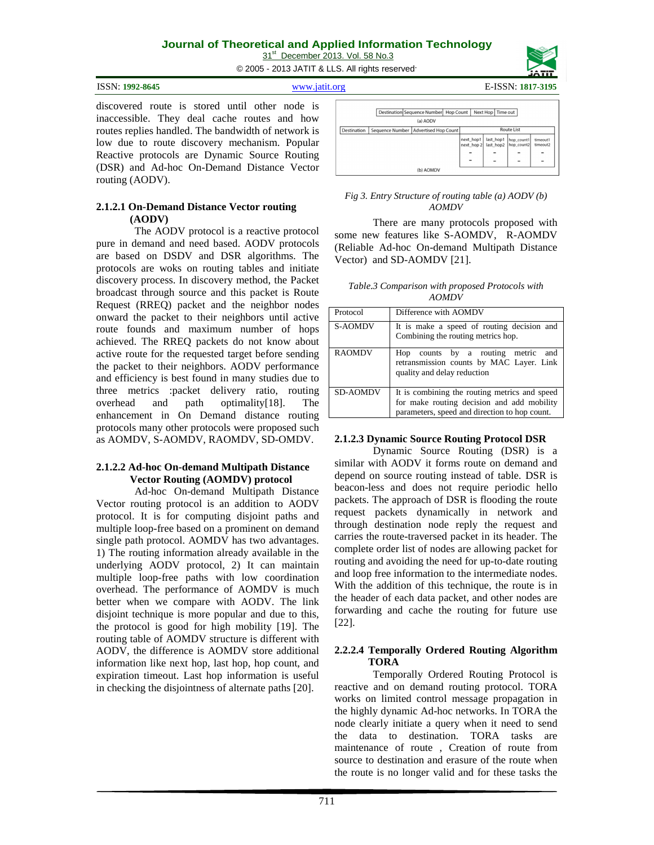31<sup>st</sup> December 2013. Vol. 58 No.3 © 2005 - 2013 JATIT & LLS. All rights reserved.

| ISSN: 1992-8645 | www.1at1t.org | E-ISSN: 1817-3195 |
|-----------------|---------------|-------------------|
|                 |               |                   |

discovered route is stored until other node is inaccessible. They deal cache routes and how routes replies handled. The bandwidth of network is low due to route discovery mechanism. Popular Reactive protocols are Dynamic Source Routing (DSR) and Ad-hoc On-Demand Distance Vector routing (AODV).

#### **2.1.2.1 On-Demand Distance Vector routing (AODV)**

The AODV protocol is a reactive protocol pure in demand and need based. AODV protocols are based on DSDV and DSR algorithms. The protocols are woks on routing tables and initiate discovery process. In discovery method, the Packet broadcast through source and this packet is Route Request (RREQ) packet and the neighbor nodes onward the packet to their neighbors until active route founds and maximum number of hops achieved. The RREQ packets do not know about active route for the requested target before sending the packet to their neighbors. AODV performance and efficiency is best found in many studies due to three metrics :packet delivery ratio, routing overhead and path optimality[18]. The enhancement in On Demand distance routing protocols many other protocols were proposed such as AOMDV, S-AOMDV, RAOMDV, SD-OMDV.

# **2.1.2.2 Ad-hoc On-demand Multipath Distance Vector Routing (AOMDV) protocol**

Ad-hoc On-demand Multipath Distance Vector routing protocol is an addition to AODV protocol. It is for computing disjoint paths and multiple loop-free based on a prominent on demand single path protocol. AOMDV has two advantages. 1) The routing information already available in the underlying AODV protocol, 2) It can maintain multiple loop-free paths with low coordination overhead. The performance of AOMDV is much better when we compare with AODV. The link disjoint technique is more popular and due to this, the protocol is good for high mobility [19]. The routing table of AOMDV structure is different with AODV, the difference is AOMDV store additional information like next hop, last hop, hop count, and expiration timeout. Last hop information is useful in checking the disjointness of alternate paths [20].

|             | Destination Sequence Number Hop Count                       |           |  |                         | Next Hop   Time out    |                          |                      |
|-------------|-------------------------------------------------------------|-----------|--|-------------------------|------------------------|--------------------------|----------------------|
|             |                                                             | (a) AODV  |  |                         |                        |                          |                      |
| Destination | <b>Route List</b><br>Sequence Number   Advertised Hop Count |           |  |                         |                        |                          |                      |
|             |                                                             |           |  | next_hop1<br>next_hop 2 | last_hop1<br>last hop2 | hop_count1<br>hop_count2 | timeout1<br>timeout2 |
|             |                                                             |           |  |                         |                        |                          |                      |
|             |                                                             |           |  | -                       |                        |                          | -                    |
|             |                                                             | (b) AOMDV |  |                         |                        |                          |                      |

#### *Fig 3. Entry Structure of routing table (a) AODV (b) AOMDV*

There are many protocols proposed with some new features like S-AOMDV, R-AOMDV (Reliable Ad-hoc On-demand Multipath Distance Vector) and SD-AOMDV [21].

| Table.3 Comparison with proposed Protocols with |       |  |  |
|-------------------------------------------------|-------|--|--|
|                                                 | AOMDV |  |  |

| Protocol        | Difference with AOMDV                                                                                                                        |  |
|-----------------|----------------------------------------------------------------------------------------------------------------------------------------------|--|
| <b>S-AOMDV</b>  | It is make a speed of routing decision and<br>Combining the routing metrics hop.                                                             |  |
| <b>RAOMDV</b>   | counts by a routing metric<br>and<br>Hop<br>retransmission counts by MAC Layer. Link<br>quality and delay reduction                          |  |
| <b>SD-AOMDV</b> | It is combining the routing metrics and speed<br>for make routing decision and add mobility<br>parameters, speed and direction to hop count. |  |

#### **2.1.2.3 Dynamic Source Routing Protocol DSR**

Dynamic Source Routing (DSR) is a similar with AODV it forms route on demand and depend on source routing instead of table. DSR is beacon-less and does not require periodic hello packets. The approach of DSR is flooding the route request packets dynamically in network and through destination node reply the request and carries the route-traversed packet in its header. The complete order list of nodes are allowing packet for routing and avoiding the need for up-to-date routing and loop free information to the intermediate nodes. With the addition of this technique, the route is in the header of each data packet, and other nodes are forwarding and cache the routing for future use [22].

#### **2.2.2.4 Temporally Ordered Routing Algorithm TORA**

Temporally Ordered Routing Protocol is reactive and on demand routing protocol. TORA works on limited control message propagation in the highly dynamic Ad-hoc networks. In TORA the node clearly initiate a query when it need to send the data to destination. TORA tasks are maintenance of route , Creation of route from source to destination and erasure of the route when the route is no longer valid and for these tasks the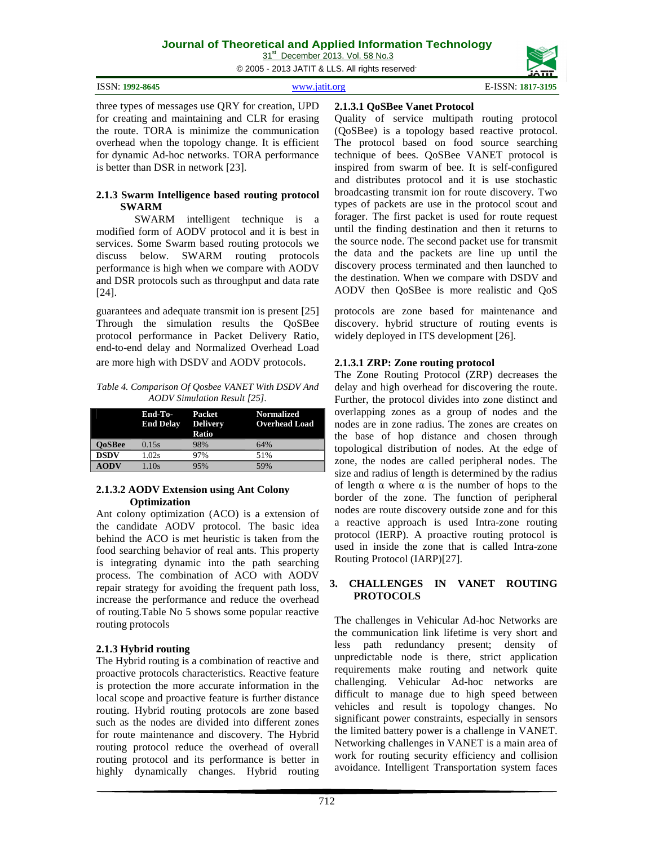31<sup>st</sup> December 2013. Vol. 58 No.3

© 2005 - 2013 JATIT & LLS. All rights reserved.

| ISSN: 1992-8645 | $WWW$ is the $n\sigma$ | $E$ -ISSN:<br>1817-3195 |
|-----------------|------------------------|-------------------------|
|                 |                        |                         |

three types of messages use QRY for creation, UPD for creating and maintaining and CLR for erasing the route. TORA is minimize the communication overhead when the topology change. It is efficient for dynamic Ad-hoc networks. TORA performance is better than DSR in network [23].

#### **2.1.3 Swarm Intelligence based routing protocol SWARM**

SWARM intelligent technique is a modified form of AODV protocol and it is best in services. Some Swarm based routing protocols we discuss below. SWARM routing protocols performance is high when we compare with AODV and DSR protocols such as throughput and data rate [24].

guarantees and adequate transmit ion is present [25] Through the simulation results the QoSBee protocol performance in Packet Delivery Ratio, end-to-end delay and Normalized Overhead Load are more high with DSDV and AODV protocols.

*Table 4. Comparison Of Qosbee VANET With DSDV And AODV Simulation Result [25].* 

|               | End-To-<br><b>End Delay</b> | Packet<br><b>Delivery</b><br>Ratio | <b>Normalized</b><br><b>Overhead Load</b> |
|---------------|-----------------------------|------------------------------------|-------------------------------------------|
| <b>OoSBee</b> | 0.15s                       | 98%                                | 64%                                       |
| <b>DSDV</b>   | 1.02s                       | 97%                                | 51%                                       |
| <b>AODV</b>   | 1.10s                       | 95%                                | 59%                                       |

# **2.1.3.2 AODV Extension using Ant Colony Optimization**

Ant colony optimization (ACO) is a extension of the candidate AODV protocol. The basic idea behind the ACO is met heuristic is taken from the food searching behavior of real ants. This property is integrating dynamic into the path searching process. The combination of ACO with AODV repair strategy for avoiding the frequent path loss, increase the performance and reduce the overhead of routing.Table No 5 shows some popular reactive routing protocols

# **2.1.3 Hybrid routing**

The Hybrid routing is a combination of reactive and proactive protocols characteristics. Reactive feature is protection the more accurate information in the local scope and proactive feature is further distance routing. Hybrid routing protocols are zone based such as the nodes are divided into different zones for route maintenance and discovery. The Hybrid routing protocol reduce the overhead of overall routing protocol and its performance is better in highly dynamically changes. Hybrid routing

# **2.1.3.1 QoSBee Vanet Protocol**

Quality of service multipath routing protocol (QoSBee) is a topology based reactive protocol. The protocol based on food source searching technique of bees. QoSBee VANET protocol is inspired from swarm of bee. It is self-configured and distributes protocol and it is use stochastic broadcasting transmit ion for route discovery. Two types of packets are use in the protocol scout and forager. The first packet is used for route request until the finding destination and then it returns to the source node. The second packet use for transmit the data and the packets are line up until the discovery process terminated and then launched to the destination. When we compare with DSDV and AODV then QoSBee is more realistic and QoS

protocols are zone based for maintenance and discovery. hybrid structure of routing events is widely deployed in ITS development [26].

# **2.1.3.1 ZRP: Zone routing protocol**

The Zone Routing Protocol (ZRP) decreases the delay and high overhead for discovering the route. Further, the protocol divides into zone distinct and overlapping zones as a group of nodes and the nodes are in zone radius. The zones are creates on the base of hop distance and chosen through topological distribution of nodes. At the edge of zone, the nodes are called peripheral nodes. The size and radius of length is determined by the radius of length α where α is the number of hops to the border of the zone. The function of peripheral nodes are route discovery outside zone and for this a reactive approach is used Intra-zone routing protocol (IERP). A proactive routing protocol is used in inside the zone that is called Intra-zone Routing Protocol (IARP)[27].

#### **3. CHALLENGES IN VANET ROUTING PROTOCOLS**

The challenges in Vehicular Ad-hoc Networks are the communication link lifetime is very short and less path redundancy present; density of unpredictable node is there, strict application requirements make routing and network quite challenging. Vehicular Ad-hoc networks are difficult to manage due to high speed between vehicles and result is topology changes. No significant power constraints, especially in sensors the limited battery power is a challenge in VANET. Networking challenges in VANET is a main area of work for routing security efficiency and collision avoidance. Intelligent Transportation system faces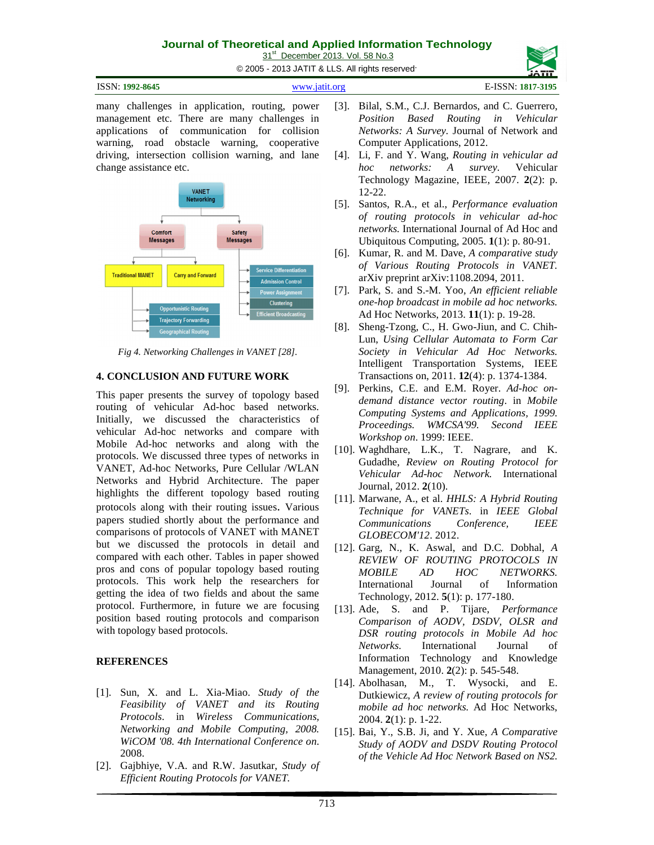31<sup>st</sup> December 2013. Vol. 58 No.3

© 2005 - 2013 JATIT & LLS. All rights reserved.

| ISSN: 1992-8645 | www.jatit.org | E-ISSN: 1817-3195 |
|-----------------|---------------|-------------------|
|                 |               |                   |

many challenges in application, routing, power management etc. There are many challenges in applications of communication for collision warning, road obstacle warning, cooperative driving, intersection collision warning, and lane change assistance etc.



*Fig 4. Networking Challenges in VANET [28].*

# **4. CONCLUSION AND FUTURE WORK**

This paper presents the survey of topology based routing of vehicular Ad-hoc based networks. Initially, we discussed the characteristics of vehicular Ad-hoc networks and compare with Mobile Ad-hoc networks and along with the protocols. We discussed three types of networks in VANET, Ad-hoc Networks, Pure Cellular /WLAN Networks and Hybrid Architecture. The paper highlights the different topology based routing protocols along with their routing issues. Various papers studied shortly about the performance and comparisons of protocols of VANET with MANET but we discussed the protocols in detail and compared with each other. Tables in paper showed pros and cons of popular topology based routing protocols. This work help the researchers for getting the idea of two fields and about the same protocol. Furthermore, in future we are focusing position based routing protocols and comparison with topology based protocols.

# **REFERENCES**

- [1]. Sun, X. and L. Xia-Miao. *Study of the Feasibility of VANET and its Routing Protocols*. in *Wireless Communications, Networking and Mobile Computing, 2008. WiCOM '08. 4th International Conference on*. 2008.
- [2]. Gajbhiye, V.A. and R.W. Jasutkar, *Study of Efficient Routing Protocols for VANET.*
- [3]. Bilal, S.M., C.J. Bernardos, and C. Guerrero, *Position Based Routing in Vehicular Networks: A Survey.* Journal of Network and Computer Applications, 2012.
- [4]. Li, F. and Y. Wang, *Routing in vehicular ad hoc networks: A survey.* Vehicular Technology Magazine, IEEE, 2007. **2**(2): p. 12-22.
- [5]. Santos, R.A., et al., *Performance evaluation of routing protocols in vehicular ad-hoc networks.* International Journal of Ad Hoc and Ubiquitous Computing, 2005. **1**(1): p. 80-91.
- [6]. Kumar, R. and M. Dave, *A comparative study of Various Routing Protocols in VANET.* arXiv preprint arXiv:1108.2094, 2011.
- [7]. Park, S. and S.-M. Yoo, *An efficient reliable one-hop broadcast in mobile ad hoc networks.* Ad Hoc Networks, 2013. **11**(1): p. 19-28.
- [8]. Sheng-Tzong, C., H. Gwo-Jiun, and C. Chih-Lun, *Using Cellular Automata to Form Car Society in Vehicular Ad Hoc Networks.* Intelligent Transportation Systems, IEEE Transactions on, 2011. **12**(4): p. 1374-1384.
- [9]. Perkins, C.E. and E.M. Royer. *Ad-hoc ondemand distance vector routing*. in *Mobile Computing Systems and Applications, 1999. Proceedings. WMCSA'99. Second IEEE Workshop on*. 1999: IEEE.
- [10]. Waghdhare, L.K., T. Nagrare, and K. Gudadhe, *Review on Routing Protocol for Vehicular Ad-hoc Network.* International Journal, 2012. **2**(10).
- [11]. Marwane, A., et al. *HHLS: A Hybrid Routing Technique for VANETs*. in *IEEE Global Communications Conference, IEEE GLOBECOM'12*. 2012.
- [12]. Garg, N., K. Aswal, and D.C. Dobhal, *A REVIEW OF ROUTING PROTOCOLS IN MOBILE AD HOC NETWORKS.* International Journal of Information Technology, 2012. **5**(1): p. 177-180.
- [13]. Ade, S. and P. Tijare, *Performance Comparison of AODV, DSDV, OLSR and DSR routing protocols in Mobile Ad hoc Networks.* International Journal of Information Technology and Knowledge Management, 2010. **2**(2): p. 545-548.
- [14]. Abolhasan, M., T. Wysocki, and E. Dutkiewicz, *A review of routing protocols for mobile ad hoc networks.* Ad Hoc Networks, 2004. **2**(1): p. 1-22.
- [15]. Bai, Y., S.B. Ji, and Y. Xue, *A Comparative Study of AODV and DSDV Routing Protocol of the Vehicle Ad Hoc Network Based on NS2.*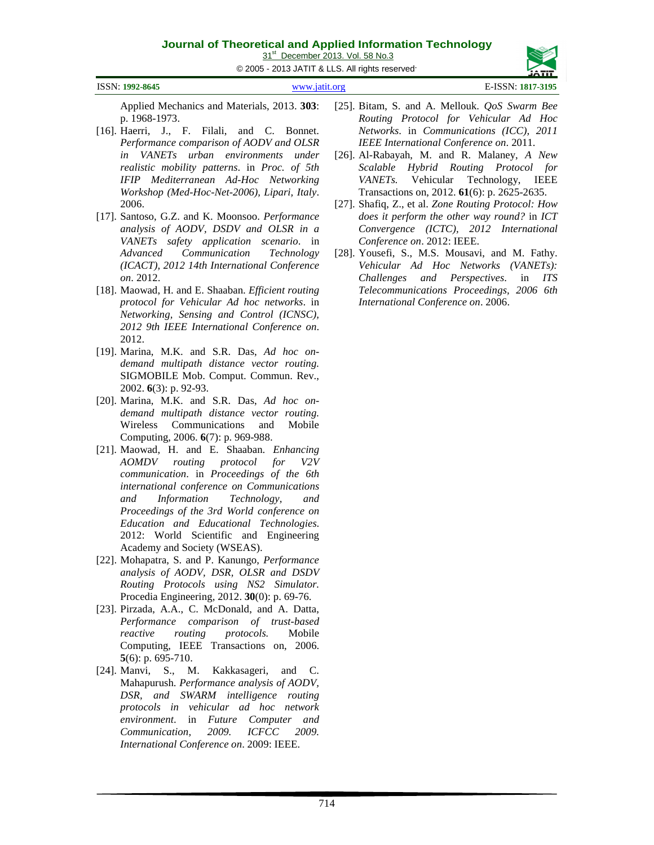31<sup>st</sup> December 2013. Vol. 58 No.3

© 2005 - 2013 JATIT & LLS. All rights reserved.

| ISSN: 1992-8645 | www.jatit.org | E-ISSN: 1817-3195 |
|-----------------|---------------|-------------------|
|                 |               |                   |

Applied Mechanics and Materials, 2013. **303**: p. 1968-1973.

- [16]. Haerri, J., F. Filali, and C. Bonnet. *Performance comparison of AODV and OLSR in VANETs urban environments under realistic mobility patterns*. in *Proc. of 5th IFIP Mediterranean Ad-Hoc Networking Workshop (Med-Hoc-Net-2006), Lipari, Italy*. 2006.
- [17]. Santoso, G.Z. and K. Moonsoo. *Performance analysis of AODV, DSDV and OLSR in a VANETs safety application scenario*. in *Advanced Communication Technology (ICACT), 2012 14th International Conference on*. 2012.
- [18]. Maowad, H. and E. Shaaban. *Efficient routing protocol for Vehicular Ad hoc networks*. in *Networking, Sensing and Control (ICNSC), 2012 9th IEEE International Conference on*. 2012.
- [19]. Marina, M.K. and S.R. Das, *Ad hoc ondemand multipath distance vector routing.* SIGMOBILE Mob. Comput. Commun. Rev., 2002. **6**(3): p. 92-93.
- [20]. Marina, M.K. and S.R. Das, *Ad hoc ondemand multipath distance vector routing.* Wireless Communications and Mobile Computing, 2006. **6**(7): p. 969-988.
- [21]. Maowad, H. and E. Shaaban. *Enhancing AOMDV routing protocol for V2V communication*. in *Proceedings of the 6th international conference on Communications and Information Technology, and Proceedings of the 3rd World conference on Education and Educational Technologies*. 2012: World Scientific and Engineering Academy and Society (WSEAS).
- [22]. Mohapatra, S. and P. Kanungo, *Performance analysis of AODV, DSR, OLSR and DSDV Routing Protocols using NS2 Simulator.* Procedia Engineering, 2012. **30**(0): p. 69-76.
- [23]. Pirzada, A.A., C. McDonald, and A. Datta, *Performance comparison of trust-based reactive routing protocols.* Mobile Computing, IEEE Transactions on, 2006. **5**(6): p. 695-710.
- [24]. Manvi, S., M. Kakkasageri, and C. Mahapurush. *Performance analysis of AODV, DSR, and SWARM intelligence routing protocols in vehicular ad hoc network environment*. in *Future Computer and Communication, 2009. ICFCC 2009. International Conference on*. 2009: IEEE.
- [25]. Bitam, S. and A. Mellouk. *QoS Swarm Bee Routing Protocol for Vehicular Ad Hoc Networks*. in *Communications (ICC), 2011 IEEE International Conference on*. 2011.
- [26]. Al-Rabayah, M. and R. Malaney, *A New Scalable Hybrid Routing Protocol for VANETs.* Vehicular Technology, IEEE Transactions on, 2012. **61**(6): p. 2625-2635.
- [27]. Shafiq, Z., et al. *Zone Routing Protocol: How does it perform the other way round?* in *ICT Convergence (ICTC), 2012 International Conference on*. 2012: IEEE.
- [28]. Yousefi, S., M.S. Mousavi, and M. Fathy. *Vehicular Ad Hoc Networks (VANETs): Challenges and Perspectives*. in *ITS Telecommunications Proceedings, 2006 6th International Conference on*. 2006.